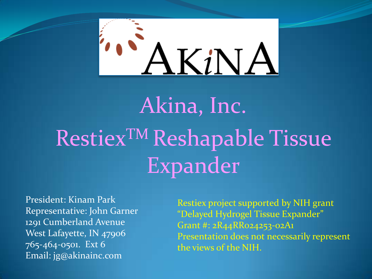

## Akina, Inc. Restiex<sup>TM</sup> Reshapable Tissue Expander

President: Kinam Park Representative: John Garner 1291 Cumberland Avenue West Lafayette, IN 47906 765-464-0501. Ext 6 Email: jg@akinainc.com

Restiex project supported by NIH grant "Delayed Hydrogel Tissue Expander" Grant #: 2R44RR024253-02A1 Presentation does not necessarily represent the views of the NIH.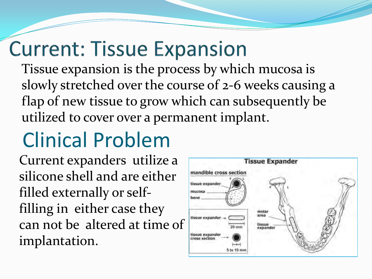#### **Current: Tissue Expansion**

Tissue expansion is the process by which mucosa is slowly stretched over the course of 2-6 weeks causing a flap of new tissue to grow which can subsequently be utilized to cover over a permanent implant.

#### Clinical Problem

Current expanders utilize a silicone shell and are either filled externally or selffilling in either case they can not be altered at time of implantation.

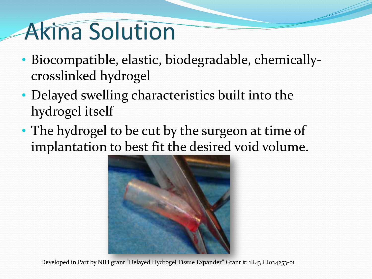### **Akina Solution**

- Biocompatible, elastic, biodegradable, chemicallycrosslinked hydrogel
- Delayed swelling characteristics built into the hydrogel itself
- The hydrogel to be cut by the surgeon at time of implantation to best fit the desired void volume.



Developed in Part by NIH grant "Delayed Hydrogel Tissue Expander" Grant #: 1R43RR024253-01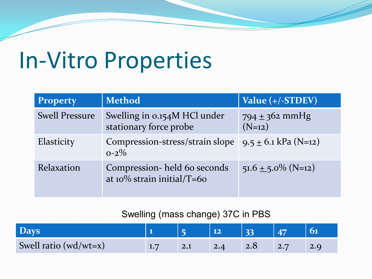#### In-Vitro Properties

| <b>Property</b>       | <b>Method</b>                                                           | Value (+/-STDEV)               |
|-----------------------|-------------------------------------------------------------------------|--------------------------------|
| <b>Swell Pressure</b> | Swelling in 0.154M HCl under<br>stationary force probe                  | $794 \pm 362$ mmHg<br>$(N=12)$ |
| Elasticity            | Compression-stress/strain slope   $9.5 \pm 6.1$ kPa (N=12)<br>$0 - 2\%$ |                                |
| Relaxation            | Compression-held 60 seconds<br>at $10\%$ strain initial/T=60            | $51.6 \pm 5.0\%$ (N=12)        |

#### Swelling (mass change) 37C in PBS

| <b>Days</b>               |     | 33  |                   |  |
|---------------------------|-----|-----|-------------------|--|
| Swell ratio ( $wd/wt=x$ ) | 2.1 | 2.8 | $\vert 2.7 \vert$ |  |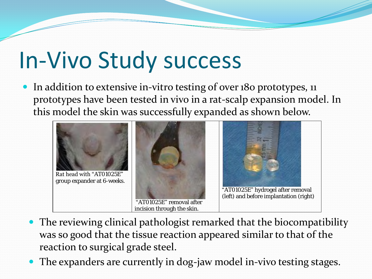### In-Vivo Study success

• In addition to extensive in-vitro testing of over 180 prototypes, 11 prototypes have been tested in vivo in a rat-scalp expansion model. In this model the skin was successfully expanded as shown below.



- The reviewing clinical pathologist remarked that the biocompatibility was so good that the tissue reaction appeared similar to that of the reaction to surgical grade steel.
- The expanders are currently in dog-jaw model in-vivo testing stages.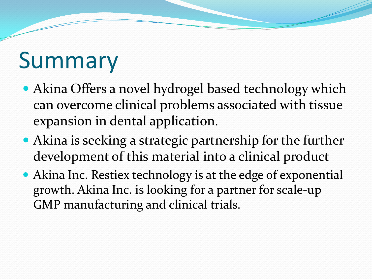### Summary

- Akina Offers a novel hydrogel based technology which can overcome clinical problems associated with tissue expansion in dental application.
- Akina is seeking a strategic partnership for the further development of this material into a clinical product
- Akina Inc. Restiex technology is at the edge of exponential growth. Akina Inc. is looking for a partner for scale-up GMP manufacturing and clinical trials.